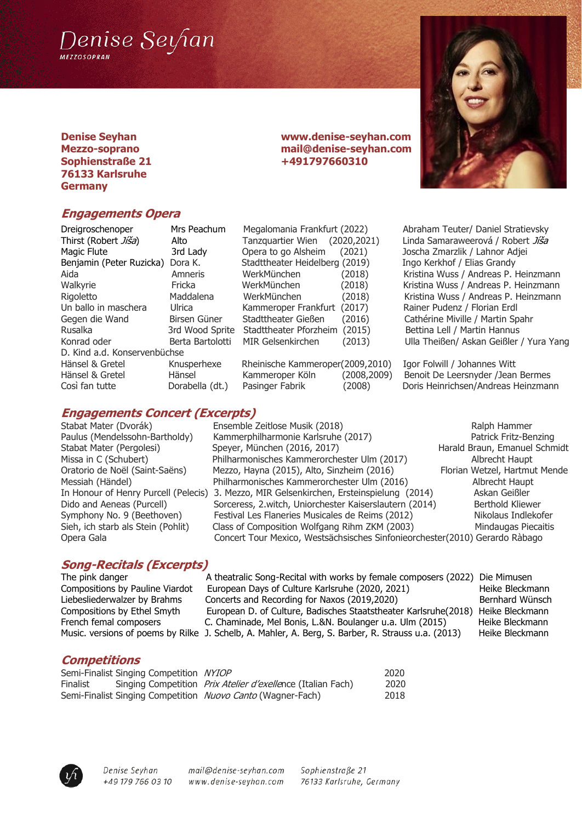

#### **Denise Seyhan www.denise-seyhan.com Mezzo-soprano mail@denise-seyhan.com Sophienstraße 21** +491797660310 **76133 Karlsruhe Germany**

## **Engagements Opera**

| Dreigroschenoper             | Mrs Peachum     |
|------------------------------|-----------------|
| Thirst (Robert Jiša)         | Alto            |
| Magic Flute                  | 3rd Lady        |
| Benjamin (Peter Ruzicka)     | Dora K.         |
| Aida                         | Amneris         |
| Walkyrie                     | Fricka          |
| Rigoletto                    | Maddalena       |
| Un ballo in maschera         | Ulrica          |
| Gegen die Wand               | Birsen Güner    |
| Rusalka                      | 3rd Wood Sprit  |
| Konrad oder                  | Berta Bartolott |
| D. Kind a.d. Konservenbüchse |                 |
| Hänsel & Gretel              | Knusperhexe     |
| Hänsel & Gretel              | Hänsel          |
| Così fan tutte               | Dorabella (dt.) |

# Megalomania Frankfurt (2022) Abraham Teuter/ Daniel Stratievsky Opera to go Alsheim (2021) Joscha Zmarzlik / Lahnor Adjei Stadttheater Heidelberg (2019) **Ingo Kerkhof / Elias Grandy** Kammeroper Frankfurt (2017) Rainer Pudenz / Florian Erdl Stadttheater Gießen (2016) Cathérine Miville / Martin Spahr te Stadttheater Pforzheim (2015) Bettina Lell / Martin Hannus

Rheinische Kammeroper(2009,2010) Igor Folwill / Johannes Witt

Tanzquartier Wien (2020,2021) Linda Samaraweerová / Robert *Jíša* WerkMünchen (2018) Kristina Wuss / Andreas P. Heinzmann WerkMünchen (2018) Kristina Wuss / Andreas P. Heinzmann WerkMünchen (2018) Kristina Wuss / Andreas P. Heinzmann ti MIR Gelsenkirchen (2013) Ulla Theißen/ Askan Geißler / Yura Yang

Kammeroper Köln (2008,2009) Benoit De Leersnyder /Jean Bermes Pasinger Fabrik (2008) Doris Heinrichsen/Andreas Heinzmann

## **Engagements Concert (Excerpts)**

Stabat Mater (Dvorák) **Ensemble Zeitlose Musik (2018)** Ralph Hammer Paulus (Mendelssohn-Bartholdy) Kammerphilharmonie Karlsruhe (2017) Patrick Fritz-Benzing Stabat Mater (Pergolesi) Speyer, München (2016, 2017) Harald Braun, Emanuel Schmidt Missa in C (Schubert) Philharmonisches Kammerorchester Ulm (2017) Albrecht Haupt Oratorio de Noël (Saint-Saëns) Mezzo, Hayna (2015), Alto, Sinzheim (2016) Florian Wetzel, Hartmut Mende Messiah (Händel) Philharmonisches Kammerorchester Ulm (2016) Albrecht Haupt In Honour of Henry Purcell (Pelecis) 3. Mezzo, MIR Gelsenkirchen, Ersteinspielung (2014) Askan Geißler Dido and Aeneas (Purcell) Sorceress, 2.witch, Uniorchester Kaiserslautern (2014) Berthold Kliewer Symphony No. 9 (Beethoven) Festival Les Flaneries Musicales de Reims (2012) Nikolaus Indlekofer Sieh, ich starb als Stein (Pohlit) Class of Composition Wolfgang Rihm ZKM (2003) Mindaugas Piecaitis Opera Gala Concert Tour Mexico, Westsächsisches Sinfonieorchester(2010) Gerardo Ràbago

# **Song-Recitals (Excerpts)**

The pink danger A theatralic Song-Recital with works by female composers (2022) Die Mimusen Compositions by Pauline Viardot European Days of Culture Karlsruhe (2020, 2021) Heike Bleckmann Liebesliederwalzer by Brahms Concerts and Recording for Naxos (2019,2020) Bernhard Wünsch Compositions by Ethel Smyth European D. of Culture, Badisches Staatstheater Karlsruhe(2018) Heike Bleckmann French femal composers C. Chaminade, Mel Bonis, L.&N. Boulanger u.a. Ulm (2015) Heike Bleckmann Music. versions of poems by Rilke J. Schelb, A. Mahler, A. Berg, S. Barber, R. Strauss u.a. (2013) Heike Bleckmann

## **Competitions**

|          | Semi-Finalist Singing Competition NYIOP |                                                                     | 2020 |
|----------|-----------------------------------------|---------------------------------------------------------------------|------|
| Finalist |                                         | Singing Competition <i>Prix Atelier d'exelle</i> nce (Italian Fach) | 2020 |
|          |                                         | Semi-Finalist Singing Competition Nuovo Canto (Wagner-Fach)         | 2018 |



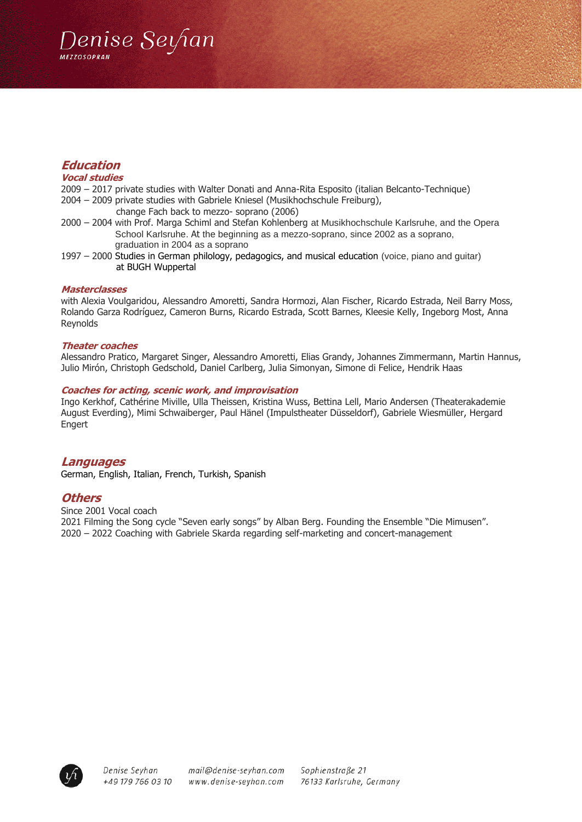

## **Education**

#### **Vocal studies**

2009 – 2017 private studies with Walter Donati and Anna-Rita Esposito (italian Belcanto-Technique)

- 2004 2009 private studies with Gabriele Kniesel (Musikhochschule Freiburg),
	- change Fach back to mezzo- soprano (2006)
- 2000 2004 with Prof. Marga Schiml and Stefan Kohlenberg at Musikhochschule Karlsruhe, and the Opera School Karlsruhe. At the beginning as a mezzo-soprano, since 2002 as a soprano, graduation in 2004 as a soprano
- 1997 2000 Studies in German philology, pedagogics, and musical education (voice, piano and guitar) at BUGH Wuppertal

#### **Masterclasses**

with Alexia Voulgaridou, Alessandro Amoretti, Sandra Hormozi, Alan Fischer, Ricardo Estrada, Neil Barry Moss, Rolando Garza Rodríguez, Cameron Burns, Ricardo Estrada, Scott Barnes, Kleesie Kelly, Ingeborg Most, Anna Reynolds

#### **Theater coaches**

Alessandro Pratico, Margaret Singer, Alessandro Amoretti, Elias Grandy, Johannes Zimmermann, Martin Hannus, Julio Mirón, Christoph Gedschold, Daniel Carlberg, Julia Simonyan, Simone di Felice, Hendrik Haas

#### **Coaches for acting, scenic work, and improvisation**

Ingo Kerkhof, Cathérine Miville, Ulla Theissen, Kristina Wuss, Bettina Lell, Mario Andersen (Theaterakademie August Everding), Mimi Schwaiberger, Paul Hänel (Impulstheater Düsseldorf), Gabriele Wiesmüller, Hergard Engert

#### **Languages**

German, English, Italian, French, Turkish, Spanish

#### **Others**

Since 2001 Vocal coach 2021 Filming the Song cycle "Seven early songs" by Alban Berg. Founding the Ensemble "Die Mimusen". 2020 – 2022 Coaching with Gabriele Skarda regarding self-marketing and concert-management